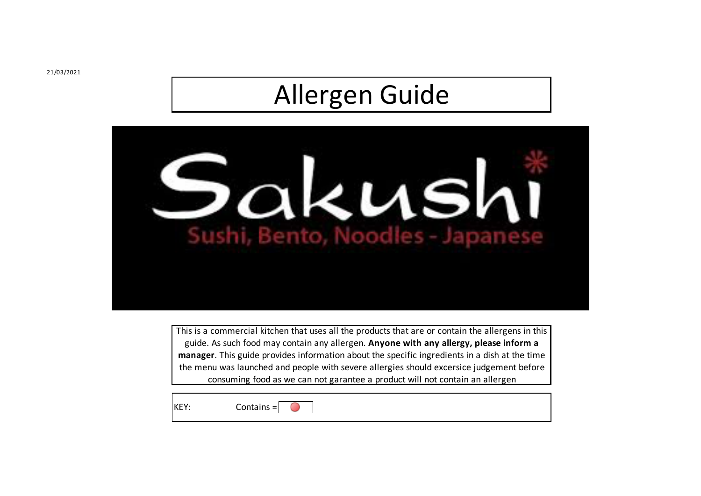## Allergen Guide



This is a commercial kitchen that uses all the products that are or contain the allergens in this guide. As such food may contain any allergen. **Anyone with any allergy, please inform a manager**. This guide provides information about the specific ingredients in a dish at the time the menu was launched and people with severe allergies should excersice judgement before consuming food as we can not garantee a product will not contain an allergen

KEY:

Contains =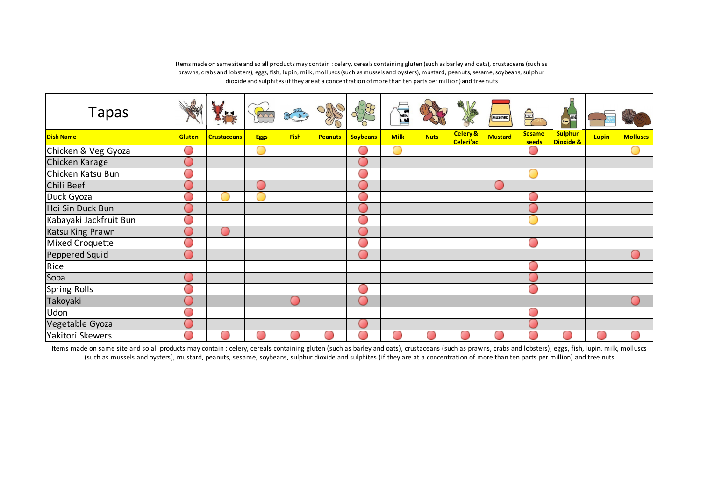| <b>Tapas</b>           | କ୍ଷ           |                    | bor         | E Les       | ORR            |                 | <b>Milk</b> |             | 美人                    | MUSTARD        |                        | <b>Check</b>                |       |                 |
|------------------------|---------------|--------------------|-------------|-------------|----------------|-----------------|-------------|-------------|-----------------------|----------------|------------------------|-----------------------------|-------|-----------------|
| <b>Dish Name</b>       | <b>Gluten</b> | <b>Crustaceans</b> | <b>Eggs</b> | <b>Fish</b> | <b>Peanuts</b> | <b>Soybeans</b> | <b>Milk</b> | <b>Nuts</b> | Celery &<br>Celeri'ac | <b>Mustard</b> | <b>Sesame</b><br>seeds | <b>Sulphur</b><br>Dioxide & | Lupin | <b>Molluscs</b> |
| Chicken & Veg Gyoza    |               |                    |             |             |                |                 |             |             |                       |                | $\left( \quad \right)$ |                             |       |                 |
| Chicken Karage         |               |                    |             |             |                |                 |             |             |                       |                |                        |                             |       |                 |
| Chicken Katsu Bun      |               |                    |             |             |                |                 |             |             |                       |                |                        |                             |       |                 |
| Chili Beef             |               |                    |             |             |                |                 |             |             |                       |                |                        |                             |       |                 |
| Duck Gyoza             |               |                    |             |             |                |                 |             |             |                       |                | œ                      |                             |       |                 |
| Hoi Sin Duck Bun       |               |                    |             |             |                |                 |             |             |                       |                |                        |                             |       |                 |
| Kabayaki Jackfruit Bun |               |                    |             |             |                |                 |             |             |                       |                |                        |                             |       |                 |
| Katsu King Prawn       |               |                    |             |             |                |                 |             |             |                       |                |                        |                             |       |                 |
| Mixed Croquette        |               |                    |             |             |                |                 |             |             |                       |                | œ                      |                             |       |                 |
| Peppered Squid         |               |                    |             |             |                |                 |             |             |                       |                |                        |                             |       |                 |
| Rice                   |               |                    |             |             |                |                 |             |             |                       |                | m                      |                             |       |                 |
| Soba                   |               |                    |             |             |                |                 |             |             |                       |                |                        |                             |       |                 |
| <b>Spring Rolls</b>    |               |                    |             |             |                |                 |             |             |                       |                | m                      |                             |       |                 |
| Takoyaki               |               |                    |             | $\sim$      |                |                 |             |             |                       |                |                        |                             |       |                 |
| Udon                   |               |                    |             |             |                |                 |             |             |                       |                | œ                      |                             |       |                 |
| Vegetable Gyoza        |               |                    |             |             |                |                 |             |             |                       |                |                        |                             |       |                 |
| Yakitori Skewers       |               |                    |             |             |                |                 |             |             |                       |                |                        |                             |       |                 |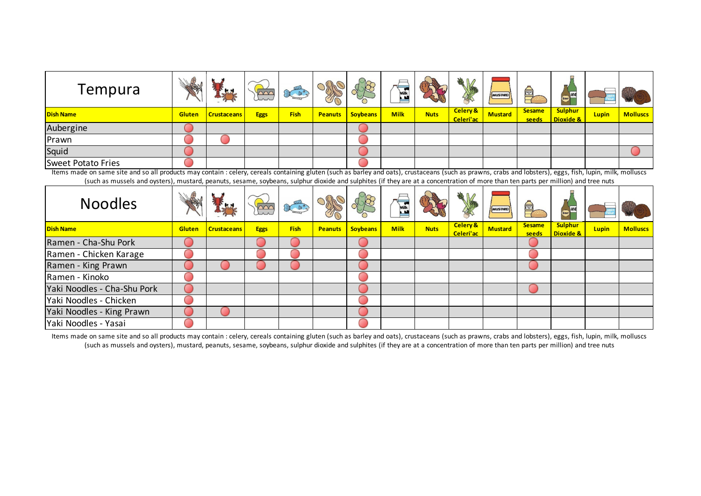| Tempura                   | \$<br>NEW     | <b>KH</b>          | un          | $\overline{u}$<br>$\begin{picture}(130,10) \put(0,0){\line(1,0){10}} \put(15,0){\line(1,0){10}} \put(15,0){\line(1,0){10}} \put(15,0){\line(1,0){10}} \put(15,0){\line(1,0){10}} \put(15,0){\line(1,0){10}} \put(15,0){\line(1,0){10}} \put(15,0){\line(1,0){10}} \put(15,0){\line(1,0){10}} \put(15,0){\line(1,0){10}} \put(15,0){\line(1,0){10}} \put(15,0){\line($ | $\cup$ )):<br>TO | $\partial_{\Omega}$<br>$\vee$ | $=$<br>Milk |             | 地区<br>A               | MUSTARD        | 鱼                      | Beer WV                     |              |                 |
|---------------------------|---------------|--------------------|-------------|-----------------------------------------------------------------------------------------------------------------------------------------------------------------------------------------------------------------------------------------------------------------------------------------------------------------------------------------------------------------------|------------------|-------------------------------|-------------|-------------|-----------------------|----------------|------------------------|-----------------------------|--------------|-----------------|
| <b>Dish Name</b>          | <b>Gluten</b> | <b>Crustaceans</b> | <b>Eggs</b> | <b>Fish</b>                                                                                                                                                                                                                                                                                                                                                           | <b>Peanuts</b>   | <b>Soybeans</b>               | <b>Milk</b> | <b>Nuts</b> | Celery &<br>Celeri'ac | <b>Mustard</b> | <b>Sesame</b><br>seeds | <b>Sulphur</b><br>Dioxide & | <b>Lupin</b> | <b>Molluscs</b> |
| Aubergine                 |               |                    |             |                                                                                                                                                                                                                                                                                                                                                                       |                  |                               |             |             |                       |                |                        |                             |              |                 |
| Prawn                     |               |                    |             |                                                                                                                                                                                                                                                                                                                                                                       |                  |                               |             |             |                       |                |                        |                             |              |                 |
| Squid                     |               |                    |             |                                                                                                                                                                                                                                                                                                                                                                       |                  |                               |             |             |                       |                |                        |                             |              |                 |
| <b>Sweet Potato Fries</b> |               |                    |             |                                                                                                                                                                                                                                                                                                                                                                       |                  |                               |             |             |                       |                |                        |                             |              |                 |

| <b>Noodles</b>              | Wellen        | LA                 |             | 日日          |                |                 | $\equiv$<br>Mill |             | 美人                               | MUSTARD        | 阜                      | <b>Bock</b>                 |              |                 |
|-----------------------------|---------------|--------------------|-------------|-------------|----------------|-----------------|------------------|-------------|----------------------------------|----------------|------------------------|-----------------------------|--------------|-----------------|
| <b>Dish Name</b>            | <b>Gluten</b> | <b>Crustaceans</b> | <b>Eggs</b> | <b>Fish</b> | <b>Peanuts</b> | <b>Soybeans</b> | <b>Milk</b>      | <b>Nuts</b> | <b>Celery &amp;</b><br>Celeri'ac | <b>Mustard</b> | <b>Sesame</b><br>seeds | <b>Sulphur</b><br>Dioxide & | <b>Lupin</b> | <b>Molluscs</b> |
| Ramen - Cha-Shu Pork        |               |                    |             |             |                |                 |                  |             |                                  |                |                        |                             |              |                 |
| Ramen - Chicken Karage      |               |                    |             |             |                |                 |                  |             |                                  |                |                        |                             |              |                 |
| Ramen - King Prawn          |               |                    |             |             |                |                 |                  |             |                                  |                |                        |                             |              |                 |
| Ramen - Kinoko              |               |                    |             |             |                |                 |                  |             |                                  |                |                        |                             |              |                 |
| Yaki Noodles - Cha-Shu Pork |               |                    |             |             |                |                 |                  |             |                                  |                |                        |                             |              |                 |
| Yaki Noodles - Chicken      |               |                    |             |             |                |                 |                  |             |                                  |                |                        |                             |              |                 |
| Yaki Noodles - King Prawn   |               |                    |             |             |                |                 |                  |             |                                  |                |                        |                             |              |                 |
| Yaki Noodles - Yasai        |               |                    |             |             |                |                 |                  |             |                                  |                |                        |                             |              |                 |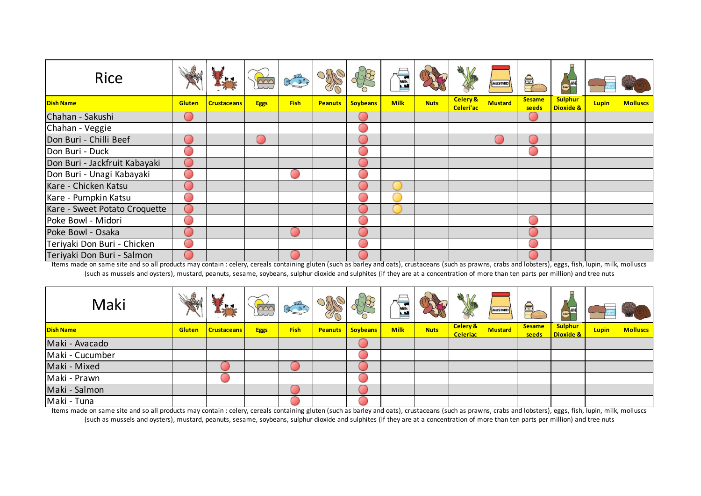| <b>Rice</b>                   |        |                    |             |             |                |                 | Milk        |             | 地区                    | MUSTARD        |                        | Boer MIVE                              |              |                 |
|-------------------------------|--------|--------------------|-------------|-------------|----------------|-----------------|-------------|-------------|-----------------------|----------------|------------------------|----------------------------------------|--------------|-----------------|
| <b>Dish Name</b>              | Gluten | <b>Crustaceans</b> | <b>Eggs</b> | <b>Fish</b> | <b>Peanuts</b> | <b>Soybeans</b> | <b>Milk</b> | <b>Nuts</b> | Celery &<br>Celeri'ac | <b>Mustard</b> | <b>Sesame</b><br>seeds | <b>Sulphur</b><br><b>Dioxide &amp;</b> | <b>Lupin</b> | <b>Molluscs</b> |
| Chahan - Sakushi              |        |                    |             |             |                |                 |             |             |                       |                |                        |                                        |              |                 |
| Chahan - Veggie               |        |                    |             |             |                |                 |             |             |                       |                |                        |                                        |              |                 |
| Don Buri - Chilli Beef        |        |                    |             |             |                |                 |             |             |                       |                |                        |                                        |              |                 |
| Don Buri - Duck               |        |                    |             |             |                |                 |             |             |                       |                |                        |                                        |              |                 |
| Don Buri - Jackfruit Kabayaki |        |                    |             |             |                |                 |             |             |                       |                |                        |                                        |              |                 |
| Don Buri - Unagi Kabayaki     |        |                    |             |             |                |                 |             |             |                       |                |                        |                                        |              |                 |
| Kare - Chicken Katsu          |        |                    |             |             |                |                 |             |             |                       |                |                        |                                        |              |                 |
| Kare - Pumpkin Katsu          |        |                    |             |             |                |                 |             |             |                       |                |                        |                                        |              |                 |
| Kare - Sweet Potato Croquette |        |                    |             |             |                |                 |             |             |                       |                |                        |                                        |              |                 |
| Poke Bowl - Midori            |        |                    |             |             |                |                 |             |             |                       |                |                        |                                        |              |                 |
| Poke Bowl - Osaka             |        |                    |             |             |                |                 |             |             |                       |                |                        |                                        |              |                 |
| Teriyaki Don Buri - Chicken   |        |                    |             |             |                |                 |             |             |                       |                |                        |                                        |              |                 |
| Teriyaki Don Buri - Salmon    |        |                    |             |             |                |                 |             |             |                       |                |                        |                                        |              |                 |

| Maki             | 医             | "Kd                | In          | <b>TILL</b><br>$\begin{picture}(120,15) \put(0,0){\line(1,0){155}} \put(15,0){\line(1,0){155}} \put(15,0){\line(1,0){155}} \put(15,0){\line(1,0){155}} \put(15,0){\line(1,0){155}} \put(15,0){\line(1,0){155}} \put(15,0){\line(1,0){155}} \put(15,0){\line(1,0){155}} \put(15,0){\line(1,0){155}} \put(15,0){\line(1,0){155}} \put(15,0){\line(1,0){155}}$ | $\cup$ ))(4<br>深 |                 | $\Box$<br><b>Milk</b> |             | 地区                              | MUSTARD        | $\qquad \qquad \blacksquare$ | $\overline{100}$                       |              |                 |
|------------------|---------------|--------------------|-------------|-------------------------------------------------------------------------------------------------------------------------------------------------------------------------------------------------------------------------------------------------------------------------------------------------------------------------------------------------------------|------------------|-----------------|-----------------------|-------------|---------------------------------|----------------|------------------------------|----------------------------------------|--------------|-----------------|
| <b>Dish Name</b> | <b>Gluten</b> | <b>Crustaceans</b> | <b>Eggs</b> | <b>Fish</b>                                                                                                                                                                                                                                                                                                                                                 | <b>Peanuts</b>   | <b>Soybeans</b> | <b>Milk</b>           | <b>Nuts</b> | <b>Celery &amp;</b><br>Celeriac | <b>Mustard</b> | <b>Sesame</b><br>seeds       | <b>Sulphur</b><br><b>Dioxide &amp;</b> | <b>Lupin</b> | <b>Molluscs</b> |
| Maki - Avacado   |               |                    |             |                                                                                                                                                                                                                                                                                                                                                             |                  |                 |                       |             |                                 |                |                              |                                        |              |                 |
| Maki - Cucumber  |               |                    |             |                                                                                                                                                                                                                                                                                                                                                             |                  |                 |                       |             |                                 |                |                              |                                        |              |                 |
| Maki - Mixed     |               |                    |             |                                                                                                                                                                                                                                                                                                                                                             |                  |                 |                       |             |                                 |                |                              |                                        |              |                 |
| Maki - Prawn     |               |                    |             |                                                                                                                                                                                                                                                                                                                                                             |                  |                 |                       |             |                                 |                |                              |                                        |              |                 |
| Maki - Salmon    |               |                    |             |                                                                                                                                                                                                                                                                                                                                                             |                  |                 |                       |             |                                 |                |                              |                                        |              |                 |
| Maki - Tuna      |               |                    |             |                                                                                                                                                                                                                                                                                                                                                             |                  |                 |                       |             |                                 |                |                              |                                        |              |                 |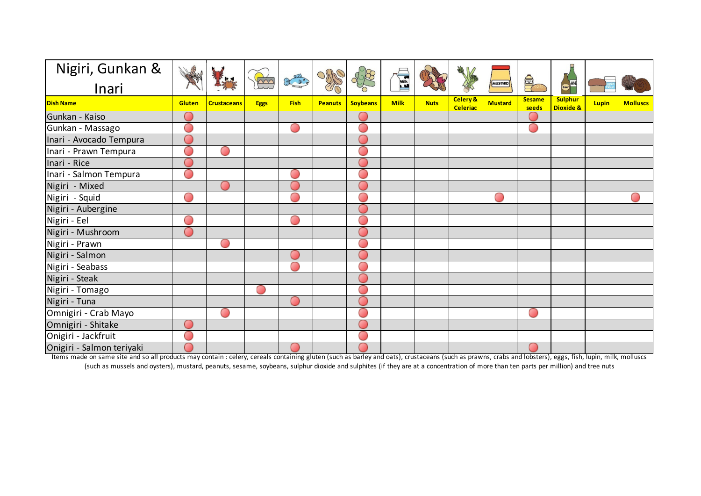| Nigiri, Gunkan &          |        |                    |             |             |                |                 |             |             | 美国                                     |                |                        |                                        |       |                 |
|---------------------------|--------|--------------------|-------------|-------------|----------------|-----------------|-------------|-------------|----------------------------------------|----------------|------------------------|----------------------------------------|-------|-----------------|
| Inari                     |        |                    | Fri         | COLOR CO    |                |                 | <b>Milk</b> |             |                                        | MUSTARD        | $\bigoplus$            | Beer WE                                |       |                 |
| <b>Dish Name</b>          | Gluten | <b>Crustaceans</b> | <b>Eggs</b> | <b>Fish</b> | <b>Peanuts</b> | <b>Soybeans</b> | <b>Milk</b> | <b>Nuts</b> | <b>Celery &amp;</b><br><b>Celeriac</b> | <b>Mustard</b> | <b>Sesame</b><br>seeds | <b>Sulphur</b><br><b>Dioxide &amp;</b> | Lupin | <b>Molluscs</b> |
| Gunkan - Kaiso            |        |                    |             |             |                |                 |             |             |                                        |                |                        |                                        |       |                 |
| Gunkan - Massago          |        |                    |             |             |                | ∩               |             |             |                                        |                | O                      |                                        |       |                 |
| Inari - Avocado Tempura   |        |                    |             |             |                |                 |             |             |                                        |                |                        |                                        |       |                 |
| Inari - Prawn Tempura     |        |                    |             |             |                |                 |             |             |                                        |                |                        |                                        |       |                 |
| Inari - Rice              |        |                    |             |             |                |                 |             |             |                                        |                |                        |                                        |       |                 |
| Inari - Salmon Tempura    |        |                    |             |             |                |                 |             |             |                                        |                |                        |                                        |       |                 |
| Nigiri - Mixed            |        |                    |             |             |                |                 |             |             |                                        |                |                        |                                        |       |                 |
| Nigiri - Squid            |        |                    |             |             |                |                 |             |             |                                        |                |                        |                                        |       |                 |
| Nigiri - Aubergine        |        |                    |             |             |                |                 |             |             |                                        |                |                        |                                        |       |                 |
| Nigiri - Eel              |        |                    |             |             |                |                 |             |             |                                        |                |                        |                                        |       |                 |
| Nigiri - Mushroom         |        |                    |             |             |                |                 |             |             |                                        |                |                        |                                        |       |                 |
| Nigiri - Prawn            |        |                    |             |             |                |                 |             |             |                                        |                |                        |                                        |       |                 |
| Nigiri - Salmon           |        |                    |             |             |                |                 |             |             |                                        |                |                        |                                        |       |                 |
| Nigiri - Seabass          |        |                    |             |             |                |                 |             |             |                                        |                |                        |                                        |       |                 |
| Nigiri - Steak            |        |                    |             |             |                |                 |             |             |                                        |                |                        |                                        |       |                 |
| Nigiri - Tomago           |        |                    | O           |             |                |                 |             |             |                                        |                |                        |                                        |       |                 |
| Nigiri - Tuna             |        |                    |             |             |                |                 |             |             |                                        |                |                        |                                        |       |                 |
| Omnigiri - Crab Mayo      |        |                    |             |             |                |                 |             |             |                                        |                | $\sim$                 |                                        |       |                 |
| Omnigiri - Shitake        |        |                    |             |             |                |                 |             |             |                                        |                |                        |                                        |       |                 |
| Onigiri - Jackfruit       |        |                    |             |             |                |                 |             |             |                                        |                |                        |                                        |       |                 |
| Onigiri - Salmon teriyaki |        |                    |             |             |                |                 |             |             |                                        |                |                        |                                        |       |                 |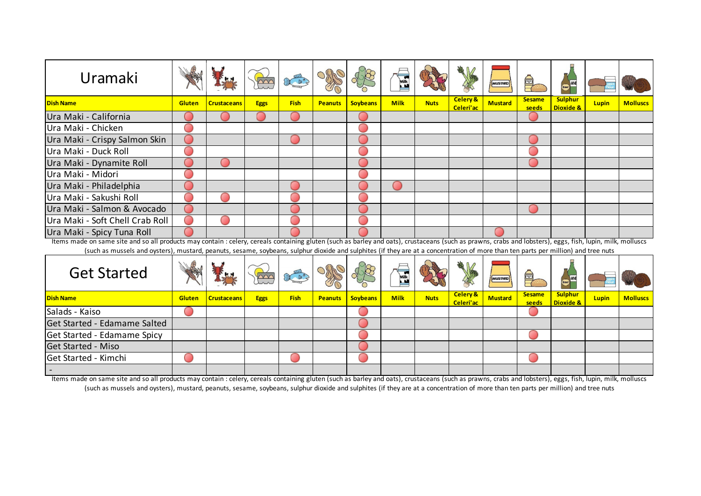| Uramaki                                                                                                                                                                                                    |        |                    |             |             |                |                 | Milk        |             |                                  | MUSTARD        | 阜                      | Beer                                   |              |                 |
|------------------------------------------------------------------------------------------------------------------------------------------------------------------------------------------------------------|--------|--------------------|-------------|-------------|----------------|-----------------|-------------|-------------|----------------------------------|----------------|------------------------|----------------------------------------|--------------|-----------------|
| <b>Dish Name</b>                                                                                                                                                                                           | Gluten | <b>Crustaceans</b> | <b>Eggs</b> | <b>Fish</b> | <b>Peanuts</b> | <b>Soybeans</b> | <b>Milk</b> | <b>Nuts</b> | <b>Celery &amp;</b><br>Celeri'ac | <b>Mustard</b> | <b>Sesame</b><br>seeds | <b>Sulphur</b><br><b>Dioxide &amp;</b> | <b>Lupin</b> | <b>Molluscs</b> |
| Ura Maki - California                                                                                                                                                                                      |        |                    |             |             |                |                 |             |             |                                  |                |                        |                                        |              |                 |
| Ura Maki - Chicken                                                                                                                                                                                         |        |                    |             |             |                |                 |             |             |                                  |                |                        |                                        |              |                 |
| Ura Maki - Crispy Salmon Skin                                                                                                                                                                              |        |                    |             |             |                |                 |             |             |                                  |                |                        |                                        |              |                 |
| Ura Maki - Duck Roll                                                                                                                                                                                       |        |                    |             |             |                |                 |             |             |                                  |                |                        |                                        |              |                 |
| Ura Maki - Dynamite Roll                                                                                                                                                                                   |        |                    |             |             |                |                 |             |             |                                  |                |                        |                                        |              |                 |
| Ura Maki - Midori                                                                                                                                                                                          |        |                    |             |             |                |                 |             |             |                                  |                |                        |                                        |              |                 |
| Ura Maki - Philadelphia                                                                                                                                                                                    |        |                    |             |             |                |                 |             |             |                                  |                |                        |                                        |              |                 |
| Ura Maki - Sakushi Roll                                                                                                                                                                                    |        |                    |             |             |                |                 |             |             |                                  |                |                        |                                        |              |                 |
| Ura Maki - Salmon & Avocado                                                                                                                                                                                |        |                    |             |             |                |                 |             |             |                                  |                |                        |                                        |              |                 |
| Ura Maki - Soft Chell Crab Roll                                                                                                                                                                            |        |                    |             |             |                |                 |             |             |                                  |                |                        |                                        |              |                 |
| Ura Maki - Spicy Tuna Roll                                                                                                                                                                                 |        |                    |             |             |                |                 |             |             |                                  |                |                        |                                        |              |                 |
| Items made on same site and so all products may contain : celery, cereals containing gluten (such as barley and oats), crustaceans (such as prawns, crabs and lobsters), eggs, fish, lupin, milk, molluscs |        |                    |             |             |                |                 |             |             |                                  |                |                        |                                        |              |                 |
| (such as mussels and oysters), mustard, peanuts, sesame, soybeans, sulphur dioxide and sulphites (if they are at a concentration of more than ten parts per million) and tree nuts                         |        |                    |             |             |                |                 |             |             |                                  |                |                        |                                        |              |                 |

| <b>Get Started</b>           | E             | <b>Kx</b>          |             | <b>ELECT</b> | X |                         | $\equiv$<br>$\boxed{\text{Milk}}$ |             | 美                                | MUSTARD        | $\bigoplus$            | $\frac{1}{\sqrt{1-\frac{1}{2}}\sqrt{1-\frac{1}{2}}\sqrt{1-\frac{1}{2}}\sqrt{1-\frac{1}{2}}\sqrt{1-\frac{1}{2}}\sqrt{1-\frac{1}{2}}\sqrt{1-\frac{1}{2}}\sqrt{1-\frac{1}{2}}\sqrt{1-\frac{1}{2}}\sqrt{1-\frac{1}{2}}\sqrt{1-\frac{1}{2}}\sqrt{1-\frac{1}{2}}\sqrt{1-\frac{1}{2}}\sqrt{1-\frac{1}{2}}\sqrt{1-\frac{1}{2}}\sqrt{1-\frac{1}{2}}\sqrt{1-\frac{1}{2}}\sqrt{1-\frac{1}{2}}\sqrt{1-\frac{1}{2}}\sqrt{1-\frac$ |              |                 |
|------------------------------|---------------|--------------------|-------------|--------------|---|-------------------------|-----------------------------------|-------------|----------------------------------|----------------|------------------------|----------------------------------------------------------------------------------------------------------------------------------------------------------------------------------------------------------------------------------------------------------------------------------------------------------------------------------------------------------------------------------------------------------------------|--------------|-----------------|
| <b>Dish Name</b>             | <b>Gluten</b> | <b>Crustaceans</b> | <b>Eggs</b> | <b>Fish</b>  |   | <b>Peanuts Soybeans</b> | <b>Milk</b>                       | <b>Nuts</b> | <b>Celery &amp;</b><br>Celeri'ac | <b>Mustard</b> | <b>Sesame</b><br>seeds | <b>Sulphur</b><br><b>Dioxide &amp;</b>                                                                                                                                                                                                                                                                                                                                                                               | <b>Lupin</b> | <b>Molluscs</b> |
| Salads - Kaiso               |               |                    |             |              |   |                         |                                   |             |                                  |                |                        |                                                                                                                                                                                                                                                                                                                                                                                                                      |              |                 |
| Get Started - Edamame Salted |               |                    |             |              |   |                         |                                   |             |                                  |                |                        |                                                                                                                                                                                                                                                                                                                                                                                                                      |              |                 |
| Get Started - Edamame Spicy  |               |                    |             |              |   |                         |                                   |             |                                  |                |                        |                                                                                                                                                                                                                                                                                                                                                                                                                      |              |                 |
| Get Started - Miso           |               |                    |             |              |   |                         |                                   |             |                                  |                |                        |                                                                                                                                                                                                                                                                                                                                                                                                                      |              |                 |
| Get Started - Kimchi         |               |                    |             |              |   |                         |                                   |             |                                  |                |                        |                                                                                                                                                                                                                                                                                                                                                                                                                      |              |                 |
|                              |               |                    |             |              |   |                         |                                   |             |                                  |                |                        |                                                                                                                                                                                                                                                                                                                                                                                                                      |              |                 |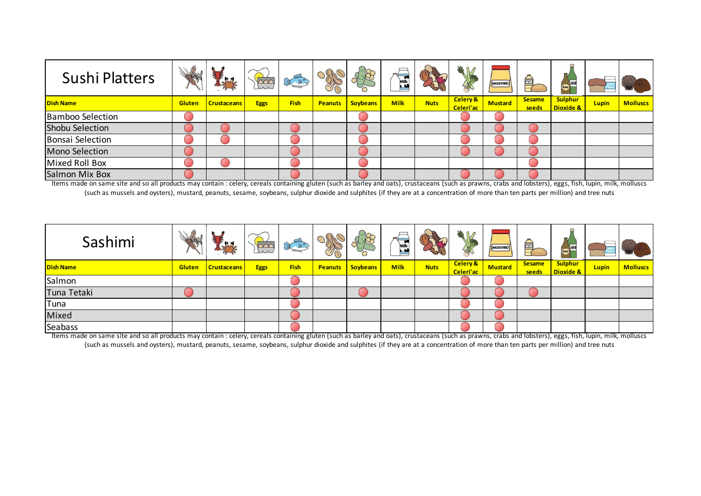| <b>Sushi Platters</b>   | MAN           | L                  |             | $\left( \frac{1}{2} \right)$ |                |                 | $=$<br>Milk |             | 地区                    | <b>MUSTARD</b> | ê,                     | $-101$<br>Beer                         |              |                 |
|-------------------------|---------------|--------------------|-------------|------------------------------|----------------|-----------------|-------------|-------------|-----------------------|----------------|------------------------|----------------------------------------|--------------|-----------------|
| <b>Dish Name</b>        | <b>Gluten</b> | <b>Crustaceans</b> | <b>Eggs</b> | <b>Fish</b>                  | <b>Peanuts</b> | <b>Soybeans</b> | <b>Milk</b> | <b>Nuts</b> | Celery &<br>Celeri'ac | <b>Mustard</b> | <b>Sesame</b><br>seeds | <b>Sulphur</b><br><b>Dioxide &amp;</b> | <b>Lupin</b> | <b>Molluscs</b> |
| <b>Bamboo Selection</b> |               |                    |             |                              |                |                 |             |             |                       |                |                        |                                        |              |                 |
| Shobu Selection         |               |                    |             |                              |                |                 |             |             |                       |                |                        |                                        |              |                 |
| <b>Bonsai Selection</b> |               |                    |             |                              |                |                 |             |             |                       |                |                        |                                        |              |                 |
| <b>Mono Selection</b>   |               |                    |             |                              |                |                 |             |             |                       |                |                        |                                        |              |                 |
| Mixed Roll Box          |               |                    |             |                              |                |                 |             |             |                       |                |                        |                                        |              |                 |
| Salmon Mix Box          |               |                    |             |                              |                |                 |             |             |                       |                |                        |                                        |              |                 |

| Sashimi          | A             | Let                |             | <b>LITE</b><br>$\text{R}^d$ | 介              | $\mathcal{B}$<br>$\leq$ | $=$<br>Milk |             | X<br>1                  | MUSTARD        | ê,                     | Beer H                      |              |                 |
|------------------|---------------|--------------------|-------------|-----------------------------|----------------|-------------------------|-------------|-------------|-------------------------|----------------|------------------------|-----------------------------|--------------|-----------------|
| <b>Dish Name</b> | <b>Gluten</b> | <b>Crustaceans</b> | <b>Eggs</b> | <b>Fish</b>                 | <b>Peanuts</b> | <b>Soybeans</b>         | <b>Milk</b> | <b>Nuts</b> | Celery &  <br>Celeri'ac | <b>Mustard</b> | <b>Sesame</b><br>seeds | <b>Sulphur</b><br>Dioxide & | <b>Lupin</b> | <b>Molluscs</b> |
| Salmon           |               |                    |             |                             |                |                         |             |             |                         |                |                        |                             |              |                 |
| Tuna Tetaki      |               |                    |             |                             |                |                         |             |             |                         |                |                        |                             |              |                 |
| Tuna             |               |                    |             |                             |                |                         |             |             |                         |                |                        |                             |              |                 |
| Mixed            |               |                    |             |                             |                |                         |             |             |                         |                |                        |                             |              |                 |
| Seabass          |               |                    |             |                             |                |                         |             |             |                         |                |                        |                             |              |                 |